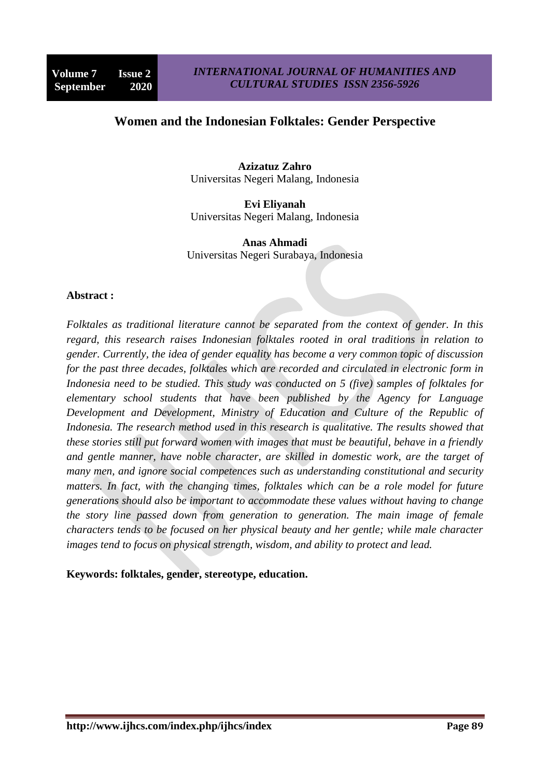# **Women and the Indonesian Folktales: Gender Perspective**

**Azizatuz Zahro** Universitas Negeri Malang, Indonesia

**Evi Eliyanah** Universitas Negeri Malang, Indonesia

**Anas Ahmadi** Universitas Negeri Surabaya, Indonesia

#### **Abstract :**

*Folktales as traditional literature cannot be separated from the context of gender. In this regard, this research raises Indonesian folktales rooted in oral traditions in relation to gender. Currently, the idea of gender equality has become a very common topic of discussion for the past three decades, folktales which are recorded and circulated in electronic form in Indonesia need to be studied. This study was conducted on 5 (five) samples of folktales for elementary school students that have been published by the Agency for Language Development and Development, Ministry of Education and Culture of the Republic of Indonesia. The research method used in this research is qualitative. The results showed that these stories still put forward women with images that must be beautiful, behave in a friendly and gentle manner, have noble character, are skilled in domestic work, are the target of many men, and ignore social competences such as understanding constitutional and security matters. In fact, with the changing times, folktales which can be a role model for future generations should also be important to accommodate these values without having to change the story line passed down from generation to generation. The main image of female characters tends to be focused on her physical beauty and her gentle; while male character images tend to focus on physical strength, wisdom, and ability to protect and lead.*

#### **Keywords: folktales, gender, stereotype, education.**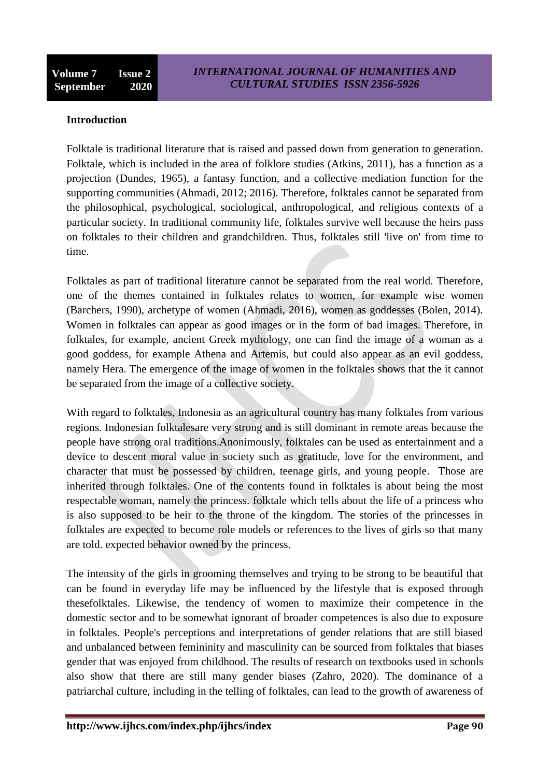#### **Introduction**

Folktale is traditional literature that is raised and passed down from generation to generation. Folktale, which is included in the area of folklore studies (Atkins, 2011), has a function as a projection (Dundes, 1965), a fantasy function, and a collective mediation function for the supporting communities (Ahmadi, 2012; 2016). Therefore, folktales cannot be separated from the philosophical, psychological, sociological, anthropological, and religious contexts of a particular society. In traditional community life, folktales survive well because the heirs pass on folktales to their children and grandchildren. Thus, folktales still 'live on' from time to time.

Folktales as part of traditional literature cannot be separated from the real world. Therefore, one of the themes contained in folktales relates to women, for example wise women (Barchers, 1990), archetype of women (Ahmadi, 2016), women as goddesses (Bolen, 2014). Women in folktales can appear as good images or in the form of bad images. Therefore, in folktales, for example, ancient Greek mythology, one can find the image of a woman as a good goddess, for example Athena and Artemis, but could also appear as an evil goddess, namely Hera. The emergence of the image of women in the folktales shows that the it cannot be separated from the image of a collective society.

With regard to folktales, Indonesia as an agricultural country has many folktales from various regions. Indonesian folktalesare very strong and is still dominant in remote areas because the people have strong oral traditions.Anonimously, folktales can be used as entertainment and a device to descent moral value in society such as gratitude, love for the environment, and character that must be possessed by children, teenage girls, and young people. Those are inherited through folktales. One of the contents found in folktales is about being the most respectable woman, namely the princess. folktale which tells about the life of a princess who is also supposed to be heir to the throne of the kingdom. The stories of the princesses in folktales are expected to become role models or references to the lives of girls so that many are told. expected behavior owned by the princess.

The intensity of the girls in grooming themselves and trying to be strong to be beautiful that can be found in everyday life may be influenced by the lifestyle that is exposed through thesefolktales. Likewise, the tendency of women to maximize their competence in the domestic sector and to be somewhat ignorant of broader competences is also due to exposure in folktales. People's perceptions and interpretations of gender relations that are still biased and unbalanced between femininity and masculinity can be sourced from folktales that biases gender that was enjoyed from childhood. The results of research on textbooks used in schools also show that there are still many gender biases (Zahro, 2020). The dominance of a patriarchal culture, including in the telling of folktales, can lead to the growth of awareness of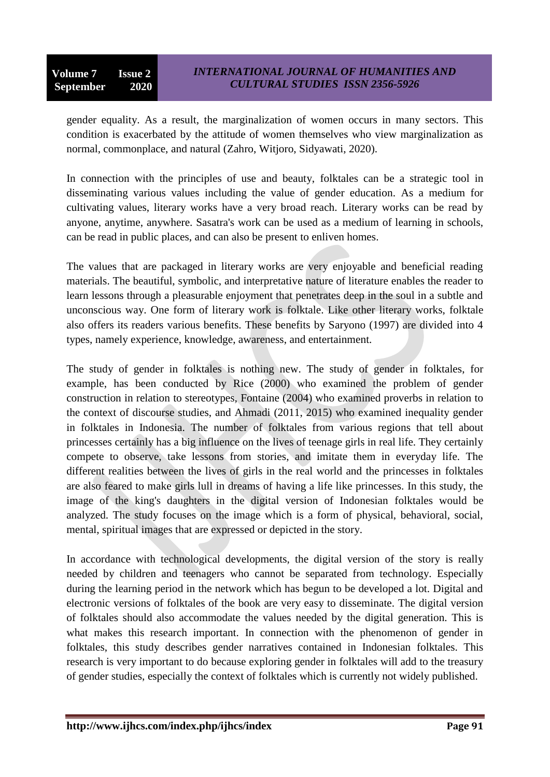gender equality. As a result, the marginalization of women occurs in many sectors. This condition is exacerbated by the attitude of women themselves who view marginalization as normal, commonplace, and natural (Zahro, Witjoro, Sidyawati, 2020).

In connection with the principles of use and beauty, folktales can be a strategic tool in disseminating various values including the value of gender education. As a medium for cultivating values, literary works have a very broad reach. Literary works can be read by anyone, anytime, anywhere. Sasatra's work can be used as a medium of learning in schools, can be read in public places, and can also be present to enliven homes.

The values that are packaged in literary works are very enjoyable and beneficial reading materials. The beautiful, symbolic, and interpretative nature of literature enables the reader to learn lessons through a pleasurable enjoyment that penetrates deep in the soul in a subtle and unconscious way. One form of literary work is folktale. Like other literary works, folktale also offers its readers various benefits. These benefits by Saryono (1997) are divided into 4 types, namely experience, knowledge, awareness, and entertainment.

The study of gender in folktales is nothing new. The study of gender in folktales, for example, has been conducted by Rice (2000) who examined the problem of gender construction in relation to stereotypes, Fontaine (2004) who examined proverbs in relation to the context of discourse studies, and Ahmadi (2011, 2015) who examined inequality gender in folktales in Indonesia. The number of folktales from various regions that tell about princesses certainly has a big influence on the lives of teenage girls in real life. They certainly compete to observe, take lessons from stories, and imitate them in everyday life. The different realities between the lives of girls in the real world and the princesses in folktales are also feared to make girls lull in dreams of having a life like princesses. In this study, the image of the king's daughters in the digital version of Indonesian folktales would be analyzed. The study focuses on the image which is a form of physical, behavioral, social, mental, spiritual images that are expressed or depicted in the story.

In accordance with technological developments, the digital version of the story is really needed by children and teenagers who cannot be separated from technology. Especially during the learning period in the network which has begun to be developed a lot. Digital and electronic versions of folktales of the book are very easy to disseminate. The digital version of folktales should also accommodate the values needed by the digital generation. This is what makes this research important. In connection with the phenomenon of gender in folktales, this study describes gender narratives contained in Indonesian folktales. This research is very important to do because exploring gender in folktales will add to the treasury of gender studies, especially the context of folktales which is currently not widely published.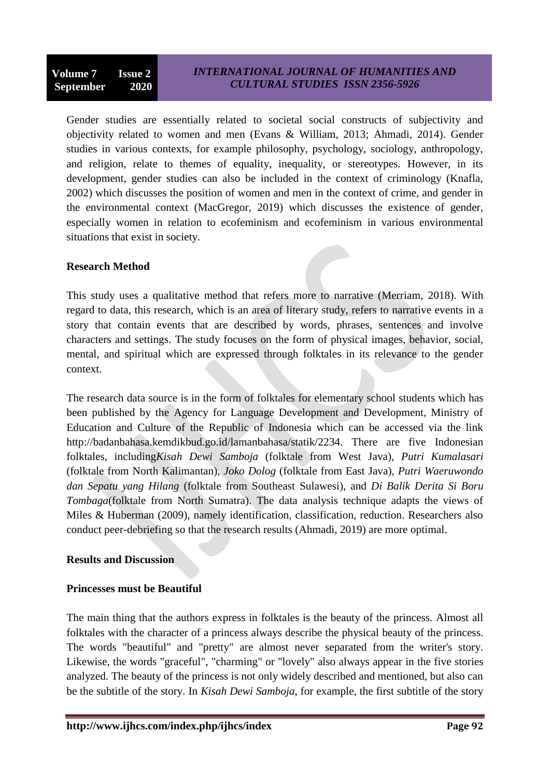Gender studies are essentially related to societal social constructs of subjectivity and objectivity related to women and men (Evans & William, 2013; Ahmadi, 2014). Gender studies in various contexts, for example philosophy, psychology, sociology, anthropology, and religion, relate to themes of equality, inequality, or stereotypes. However, in its development, gender studies can also be included in the context of criminology (Knafla, 2002) which discusses the position of women and men in the context of crime, and gender in the environmental context (MacGregor, 2019) which discusses the existence of gender, especially women in relation to ecofeminism and ecofeminism in various environmental situations that exist in society.

## **Research Method**

This study uses a qualitative method that refers more to narrative (Merriam, 2018). With regard to data, this research, which is an area of literary study, refers to narrative events in a story that contain events that are described by words, phrases, sentences and involve characters and settings. The study focuses on the form of physical images, behavior, social, mental, and spiritual which are expressed through folktales in its relevance to the gender context.

The research data source is in the form of folktales for elementary school students which has been published by the Agency for Language Development and Development, Ministry of Education and Culture of the Republic of Indonesia which can be accessed via the link http://badanbahasa.kemdikbud.go.id/lamanbahasa/statik/2234. There are five Indonesian folktales, including*Kisah Dewi Samboja* (folktale from West Java), *Putri Kumalasari* (folktale from North Kalimantan), *Joko Dolog* (folktale from East Java), *Putri Waeruwondo dan Sepatu yang Hilang* (folktale from Southeast Sulawesi), and *Di Balik Derita Si Boru Tombaga*(folktale from North Sumatra). The data analysis technique adapts the views of Miles & Huberman (2009), namely identification, classification, reduction. Researchers also conduct peer-debriefing so that the research results (Ahmadi, 2019) are more optimal.

#### **Results and Discussion**

#### **Princesses must be Beautiful**

The main thing that the authors express in folktales is the beauty of the princess. Almost all folktales with the character of a princess always describe the physical beauty of the princess. The words "beautiful" and "pretty" are almost never separated from the writer's story. Likewise, the words "graceful", "charming" or "lovely" also always appear in the five stories analyzed. The beauty of the princess is not only widely described and mentioned, but also can be the subtitle of the story. In *Kisah Dewi Samboja*, for example, the first subtitle of the story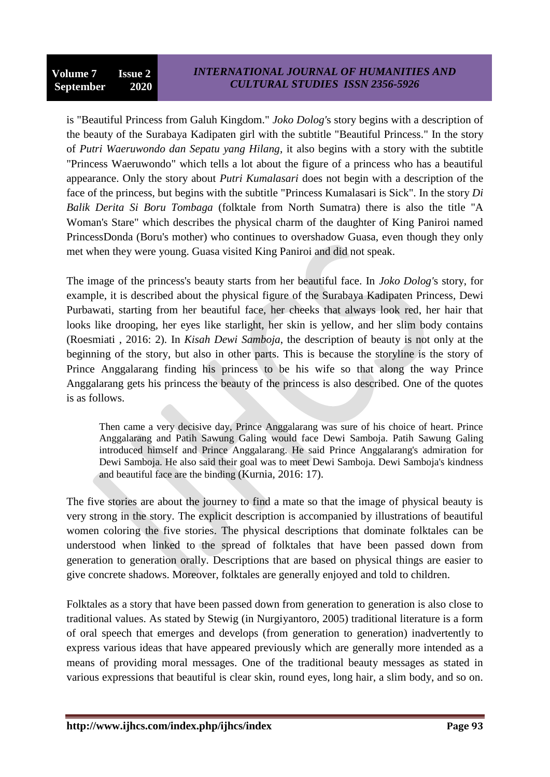is "Beautiful Princess from Galuh Kingdom." *Joko Dolog'*s story begins with a description of the beauty of the Surabaya Kadipaten girl with the subtitle "Beautiful Princess." In the story of *Putri Waeruwondo dan Sepatu yang Hilang*, it also begins with a story with the subtitle "Princess Waeruwondo" which tells a lot about the figure of a princess who has a beautiful appearance. Only the story about *Putri Kumalasari* does not begin with a description of the face of the princess, but begins with the subtitle "Princess Kumalasari is Sick". In the story *Di Balik Derita Si Boru Tombaga* (folktale from North Sumatra) there is also the title "A Woman's Stare" which describes the physical charm of the daughter of King Paniroi named PrincessDonda (Boru's mother) who continues to overshadow Guasa, even though they only met when they were young. Guasa visited King Paniroi and did not speak.

The image of the princess's beauty starts from her beautiful face. In *Joko Dolog'*s story, for example, it is described about the physical figure of the Surabaya Kadipaten Princess, Dewi Purbawati, starting from her beautiful face, her cheeks that always look red, her hair that looks like drooping, her eyes like starlight, her skin is yellow, and her slim body contains (Roesmiati , 2016: 2). In *Kisah Dewi Samboja*, the description of beauty is not only at the beginning of the story, but also in other parts. This is because the storyline is the story of Prince Anggalarang finding his princess to be his wife so that along the way Prince Anggalarang gets his princess the beauty of the princess is also described. One of the quotes is as follows.

Then came a very decisive day, Prince Anggalarang was sure of his choice of heart. Prince Anggalarang and Patih Sawung Galing would face Dewi Samboja. Patih Sawung Galing introduced himself and Prince Anggalarang. He said Prince Anggalarang's admiration for Dewi Samboja. He also said their goal was to meet Dewi Samboja. Dewi Samboja's kindness and beautiful face are the binding (Kurnia, 2016: 17).

The five stories are about the journey to find a mate so that the image of physical beauty is very strong in the story. The explicit description is accompanied by illustrations of beautiful women coloring the five stories. The physical descriptions that dominate folktales can be understood when linked to the spread of folktales that have been passed down from generation to generation orally. Descriptions that are based on physical things are easier to give concrete shadows. Moreover, folktales are generally enjoyed and told to children.

Folktales as a story that have been passed down from generation to generation is also close to traditional values. As stated by Stewig (in Nurgiyantoro, 2005) traditional literature is a form of oral speech that emerges and develops (from generation to generation) inadvertently to express various ideas that have appeared previously which are generally more intended as a means of providing moral messages. One of the traditional beauty messages as stated in various expressions that beautiful is clear skin, round eyes, long hair, a slim body, and so on.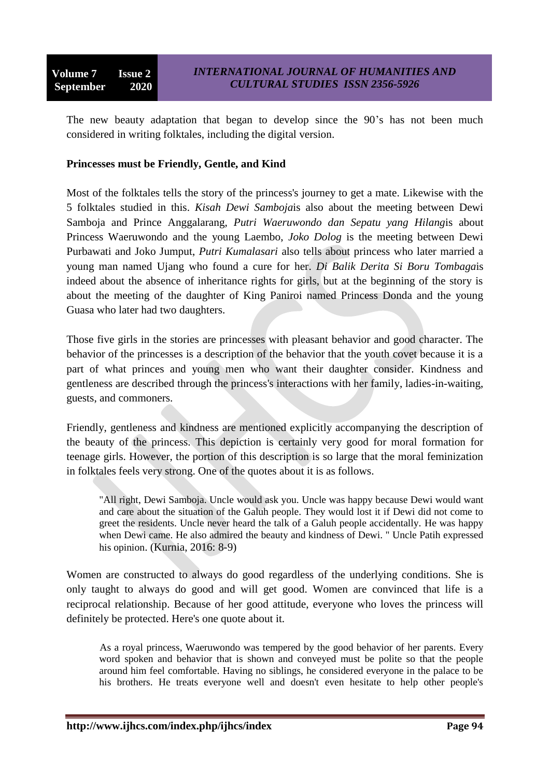The new beauty adaptation that began to develop since the 90's has not been much considered in writing folktales, including the digital version.

#### **Princesses must be Friendly, Gentle, and Kind**

Most of the folktales tells the story of the princess's journey to get a mate. Likewise with the 5 folktales studied in this. *Kisah Dewi Samboja*is also about the meeting between Dewi Samboja and Prince Anggalarang, *Putri Waeruwondo dan Sepatu yang Hilang*is about Princess Waeruwondo and the young Laembo, *Joko Dolog* is the meeting between Dewi Purbawati and Joko Jumput, *Putri Kumalasari* also tells about princess who later married a young man named Ujang who found a cure for her. *Di Balik Derita Si Boru Tombaga*is indeed about the absence of inheritance rights for girls, but at the beginning of the story is about the meeting of the daughter of King Paniroi named Princess Donda and the young Guasa who later had two daughters.

Those five girls in the stories are princesses with pleasant behavior and good character. The behavior of the princesses is a description of the behavior that the youth covet because it is a part of what princes and young men who want their daughter consider. Kindness and gentleness are described through the princess's interactions with her family, ladies-in-waiting, guests, and commoners.

Friendly, gentleness and kindness are mentioned explicitly accompanying the description of the beauty of the princess. This depiction is certainly very good for moral formation for teenage girls. However, the portion of this description is so large that the moral feminization in folktales feels very strong. One of the quotes about it is as follows.

"All right, Dewi Samboja. Uncle would ask you. Uncle was happy because Dewi would want and care about the situation of the Galuh people. They would lost it if Dewi did not come to greet the residents. Uncle never heard the talk of a Galuh people accidentally. He was happy when Dewi came. He also admired the beauty and kindness of Dewi. " Uncle Patih expressed his opinion. (Kurnia, 2016: 8-9)

Women are constructed to always do good regardless of the underlying conditions. She is only taught to always do good and will get good. Women are convinced that life is a reciprocal relationship. Because of her good attitude, everyone who loves the princess will definitely be protected. Here's one quote about it.

As a royal princess, Waeruwondo was tempered by the good behavior of her parents. Every word spoken and behavior that is shown and conveyed must be polite so that the people around him feel comfortable. Having no siblings, he considered everyone in the palace to be his brothers. He treats everyone well and doesn't even hesitate to help other people's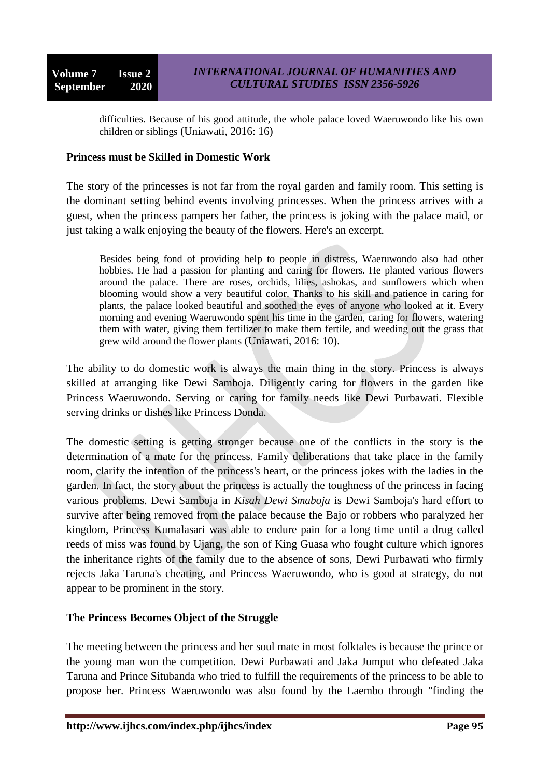difficulties. Because of his good attitude, the whole palace loved Waeruwondo like his own children or siblings (Uniawati, 2016: 16)

#### **Princess must be Skilled in Domestic Work**

The story of the princesses is not far from the royal garden and family room. This setting is the dominant setting behind events involving princesses. When the princess arrives with a guest, when the princess pampers her father, the princess is joking with the palace maid, or just taking a walk enjoying the beauty of the flowers. Here's an excerpt.

Besides being fond of providing help to people in distress, Waeruwondo also had other hobbies. He had a passion for planting and caring for flowers. He planted various flowers around the palace. There are roses, orchids, lilies, ashokas, and sunflowers which when blooming would show a very beautiful color. Thanks to his skill and patience in caring for plants, the palace looked beautiful and soothed the eyes of anyone who looked at it. Every morning and evening Waeruwondo spent his time in the garden, caring for flowers, watering them with water, giving them fertilizer to make them fertile, and weeding out the grass that grew wild around the flower plants (Uniawati, 2016: 10).

The ability to do domestic work is always the main thing in the story. Princess is always skilled at arranging like Dewi Samboja. Diligently caring for flowers in the garden like Princess Waeruwondo. Serving or caring for family needs like Dewi Purbawati. Flexible serving drinks or dishes like Princess Donda.

The domestic setting is getting stronger because one of the conflicts in the story is the determination of a mate for the princess. Family deliberations that take place in the family room, clarify the intention of the princess's heart, or the princess jokes with the ladies in the garden. In fact, the story about the princess is actually the toughness of the princess in facing various problems. Dewi Samboja in *Kisah Dewi Smaboja* is Dewi Samboja's hard effort to survive after being removed from the palace because the Bajo or robbers who paralyzed her kingdom, Princess Kumalasari was able to endure pain for a long time until a drug called reeds of miss was found by Ujang, the son of King Guasa who fought culture which ignores the inheritance rights of the family due to the absence of sons, Dewi Purbawati who firmly rejects Jaka Taruna's cheating, and Princess Waeruwondo, who is good at strategy, do not appear to be prominent in the story.

#### **The Princess Becomes Object of the Struggle**

The meeting between the princess and her soul mate in most folktales is because the prince or the young man won the competition. Dewi Purbawati and Jaka Jumput who defeated Jaka Taruna and Prince Situbanda who tried to fulfill the requirements of the princess to be able to propose her. Princess Waeruwondo was also found by the Laembo through "finding the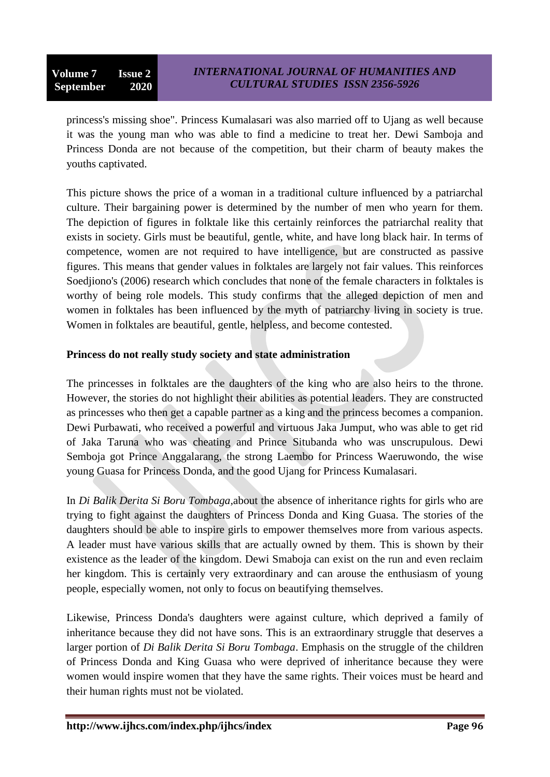princess's missing shoe". Princess Kumalasari was also married off to Ujang as well because it was the young man who was able to find a medicine to treat her. Dewi Samboja and Princess Donda are not because of the competition, but their charm of beauty makes the youths captivated.

This picture shows the price of a woman in a traditional culture influenced by a patriarchal culture. Their bargaining power is determined by the number of men who yearn for them. The depiction of figures in folktale like this certainly reinforces the patriarchal reality that exists in society. Girls must be beautiful, gentle, white, and have long black hair. In terms of competence, women are not required to have intelligence, but are constructed as passive figures. This means that gender values in folktales are largely not fair values. This reinforces Soedjiono's (2006) research which concludes that none of the female characters in folktales is worthy of being role models. This study confirms that the alleged depiction of men and women in folktales has been influenced by the myth of patriarchy living in society is true. Women in folktales are beautiful, gentle, helpless, and become contested.

## **Princess do not really study society and state administration**

The princesses in folktales are the daughters of the king who are also heirs to the throne. However, the stories do not highlight their abilities as potential leaders. They are constructed as princesses who then get a capable partner as a king and the princess becomes a companion. Dewi Purbawati, who received a powerful and virtuous Jaka Jumput, who was able to get rid of Jaka Taruna who was cheating and Prince Situbanda who was unscrupulous. Dewi Semboja got Prince Anggalarang, the strong Laembo for Princess Waeruwondo, the wise young Guasa for Princess Donda, and the good Ujang for Princess Kumalasari.

In *Di Balik Derita Si Boru Tombaga,*about the absence of inheritance rights for girls who are trying to fight against the daughters of Princess Donda and King Guasa. The stories of the daughters should be able to inspire girls to empower themselves more from various aspects. A leader must have various skills that are actually owned by them. This is shown by their existence as the leader of the kingdom. Dewi Smaboja can exist on the run and even reclaim her kingdom. This is certainly very extraordinary and can arouse the enthusiasm of young people, especially women, not only to focus on beautifying themselves.

Likewise, Princess Donda's daughters were against culture, which deprived a family of inheritance because they did not have sons. This is an extraordinary struggle that deserves a larger portion of *Di Balik Derita Si Boru Tombaga*. Emphasis on the struggle of the children of Princess Donda and King Guasa who were deprived of inheritance because they were women would inspire women that they have the same rights. Their voices must be heard and their human rights must not be violated.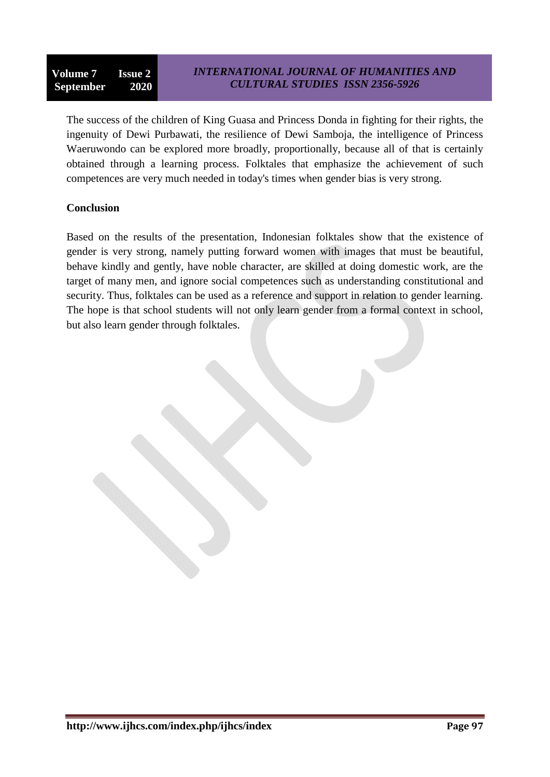The success of the children of King Guasa and Princess Donda in fighting for their rights, the ingenuity of Dewi Purbawati, the resilience of Dewi Samboja, the intelligence of Princess Waeruwondo can be explored more broadly, proportionally, because all of that is certainly obtained through a learning process. Folktales that emphasize the achievement of such competences are very much needed in today's times when gender bias is very strong.

### **Conclusion**

Based on the results of the presentation, Indonesian folktales show that the existence of gender is very strong, namely putting forward women with images that must be beautiful, behave kindly and gently, have noble character, are skilled at doing domestic work, are the target of many men, and ignore social competences such as understanding constitutional and security. Thus, folktales can be used as a reference and support in relation to gender learning. The hope is that school students will not only learn gender from a formal context in school, but also learn gender through folktales.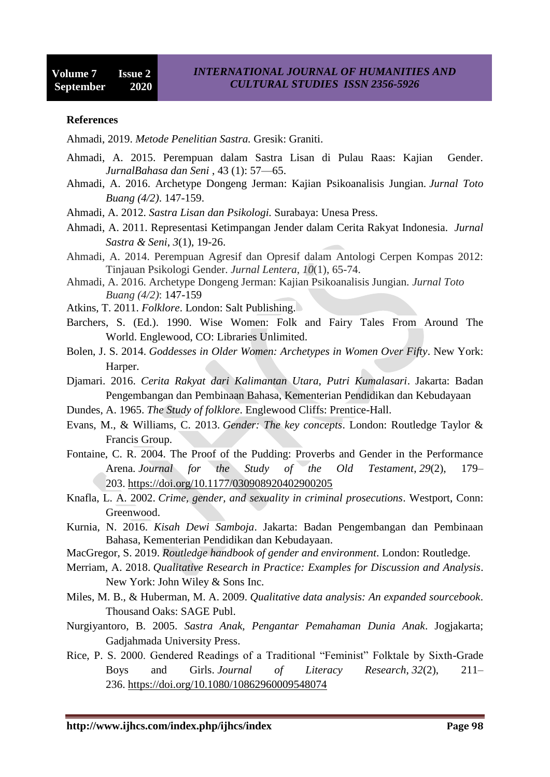#### **References**

Ahmadi, 2019. *Metode Penelitian Sastra.* Gresik: Graniti.

- Ahmadi, A. 2015. Perempuan dalam Sastra Lisan di Pulau Raas: Kajian Gender. *JurnalBahasa dan Seni* , 43 (1): 57—65.
- Ahmadi, A. 2016. Archetype Dongeng Jerman: Kajian Psikoanalisis Jungian. *Jurnal Toto Buang (4/2)*. 147-159.

Ahmadi, A. 2012. *Sastra Lisan dan Psikologi.* Surabaya: Unesa Press.

- Ahmadi, A. 2011. Representasi Ketimpangan Jender dalam Cerita Rakyat Indonesia. *Jurnal Sastra & Seni*, *3*(1), 19-26.
- Ahmadi, A. 2014. Perempuan Agresif dan Opresif dalam Antologi Cerpen Kompas 2012: Tinjauan Psikologi Gender. *Jurnal Lentera*, *10*(1), 65-74.
- Ahmadi, A. 2016. Archetype Dongeng Jerman: Kajian Psikoanalisis Jungian. *Jurnal Toto Buang (4/2)*: 147-159
- Atkins, T. 2011. *Folklore*. London: Salt Publishing.
- Barchers, S. (Ed.). 1990. Wise Women: Folk and Fairy Tales From Around The World. Englewood, CO: Libraries Unlimited.
- Bolen, J. S. 2014. *Goddesses in Older Women: Archetypes in Women Over Fifty*. New York: Harper.
- Djamari. 2016. *Cerita Rakyat dari Kalimantan Utara, Putri Kumalasari*. Jakarta: Badan Pengembangan dan Pembinaan Bahasa, Kementerian Pendidikan dan Kebudayaan
- Dundes, A. 1965. *The Study of folklore*. Englewood Cliffs: Prentice-Hall.
- Evans, M., & Williams, C. 2013. *Gender: The key concepts*. London: Routledge Taylor & Francis Group.
- Fontaine, C. R. 2004. The Proof of the Pudding: Proverbs and Gender in the Performance Arena. *Journal for the Study of the Old Testament*, *29*(2), 179– 203. <https://doi.org/10.1177/030908920402900205>
- Knafla, L. A. 2002. *Crime, gender, and sexuality in criminal prosecutions*. Westport, Conn: Greenwood.
- Kurnia, N. 2016. *Kisah Dewi Samboja*. Jakarta: Badan Pengembangan dan Pembinaan Bahasa, Kementerian Pendidikan dan Kebudayaan.
- MacGregor, S. 2019. *Routledge handbook of gender and environment*. London: Routledge.
- Merriam, A. 2018. *Qualitative Research in Practice: Examples for Discussion and Analysis*. New York: John Wiley & Sons Inc.
- Miles, M. B., & Huberman, M. A. 2009. *Qualitative data analysis: An expanded sourcebook*. Thousand Oaks: SAGE Publ.
- Nurgiyantoro, B. 2005. *Sastra Anak, Pengantar Pemahaman Dunia Anak*. Jogjakarta; Gadjahmada University Press.
- Rice, P. S. 2000. Gendered Readings of a Traditional "Feminist" Folktale by Sixth-Grade Boys and Girls. *Journal of Literacy Research*, *32*(2), 211– 236. <https://doi.org/10.1080/10862960009548074>